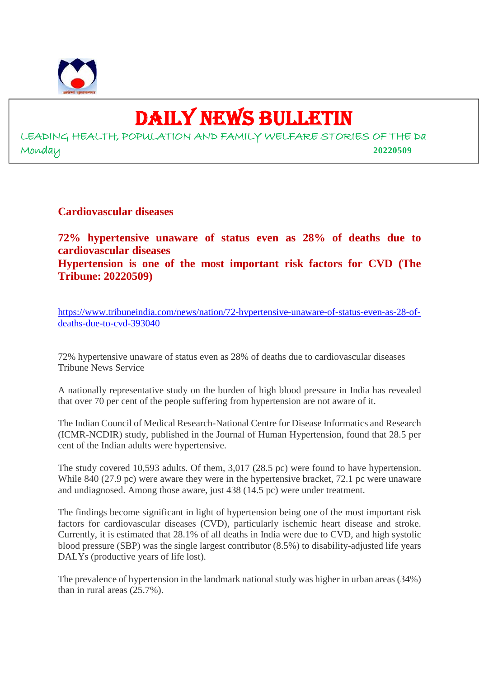

## DAILY NEWS BULLETIN

LEADING HEALTH, POPULATION AND FAMILY WELFARE STORIES OF THE Da Monday **20220509**

**Cardiovascular diseases**

**72% hypertensive unaware of status even as 28% of deaths due to cardiovascular diseases Hypertension is one of the most important risk factors for CVD (The Tribune: 20220509)**

https://www.tribuneindia.com/news/nation/72-hypertensive-unaware-of-status-even-as-28-ofdeaths-due-to-cvd-393040

72% hypertensive unaware of status even as 28% of deaths due to cardiovascular diseases Tribune News Service

A nationally representative study on the burden of high blood pressure in India has revealed that over 70 per cent of the people suffering from hypertension are not aware of it.

The Indian Council of Medical Research-National Centre for Disease Informatics and Research (ICMR-NCDIR) study, published in the Journal of Human Hypertension, found that 28.5 per cent of the Indian adults were hypertensive.

The study covered 10,593 adults. Of them, 3,017 (28.5 pc) were found to have hypertension. While 840 (27.9 pc) were aware they were in the hypertensive bracket, 72.1 pc were unaware and undiagnosed. Among those aware, just 438 (14.5 pc) were under treatment.

The findings become significant in light of hypertension being one of the most important risk factors for cardiovascular diseases (CVD), particularly ischemic heart disease and stroke. Currently, it is estimated that 28.1% of all deaths in India were due to CVD, and high systolic blood pressure (SBP) was the single largest contributor (8.5%) to disability-adjusted life years DALYs (productive years of life lost).

The prevalence of hypertension in the landmark national study was higher in urban areas (34%) than in rural areas (25.7%).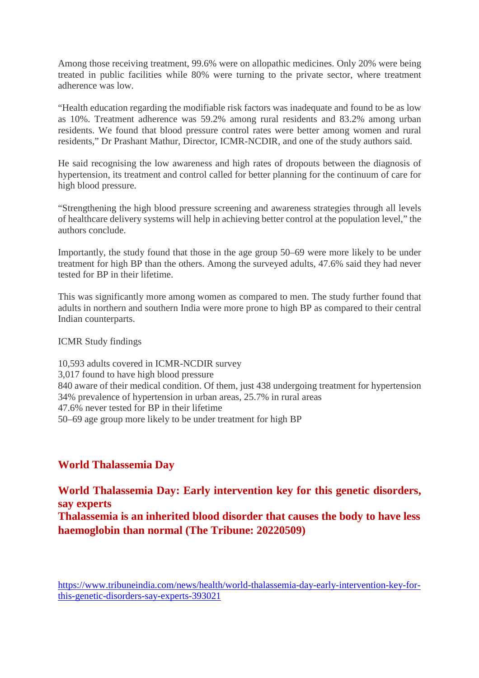Among those receiving treatment, 99.6% were on allopathic medicines. Only 20% were being treated in public facilities while 80% were turning to the private sector, where treatment adherence was low.

"Health education regarding the modifiable risk factors was inadequate and found to be as low as 10%. Treatment adherence was 59.2% among rural residents and 83.2% among urban residents. We found that blood pressure control rates were better among women and rural residents," Dr Prashant Mathur, Director, ICMR-NCDIR, and one of the study authors said.

He said recognising the low awareness and high rates of dropouts between the diagnosis of hypertension, its treatment and control called for better planning for the continuum of care for high blood pressure.

"Strengthening the high blood pressure screening and awareness strategies through all levels of healthcare delivery systems will help in achieving better control at the population level," the authors conclude.

Importantly, the study found that those in the age group 50–69 were more likely to be under treatment for high BP than the others. Among the surveyed adults, 47.6% said they had never tested for BP in their lifetime.

This was significantly more among women as compared to men. The study further found that adults in northern and southern India were more prone to high BP as compared to their central Indian counterparts.

ICMR Study findings

10,593 adults covered in ICMR-NCDIR survey 3,017 found to have high blood pressure 840 aware of their medical condition. Of them, just 438 undergoing treatment for hypertension 34% prevalence of hypertension in urban areas, 25.7% in rural areas 47.6% never tested for BP in their lifetime 50–69 age group more likely to be under treatment for high BP

#### **World Thalassemia Day**

**World Thalassemia Day: Early intervention key for this genetic disorders, say experts**

**Thalassemia is an inherited blood disorder that causes the body to have less haemoglobin than normal (The Tribune: 20220509)**

https://www.tribuneindia.com/news/health/world-thalassemia-day-early-intervention-key-forthis-genetic-disorders-say-experts-393021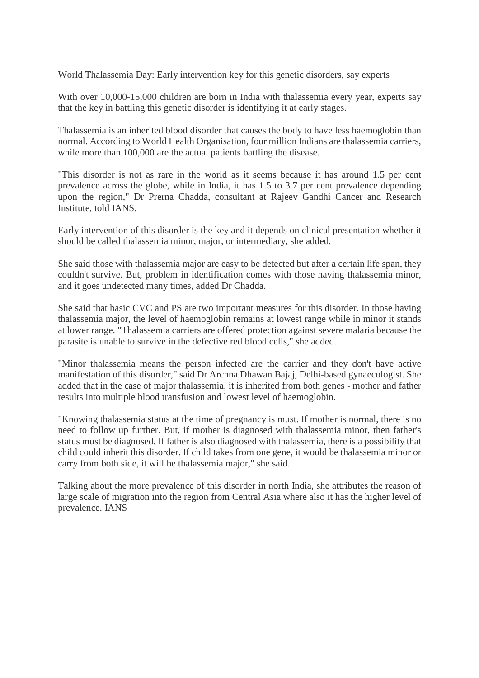World Thalassemia Day: Early intervention key for this genetic disorders, say experts

With over 10,000-15,000 children are born in India with thalassemia every year, experts say that the key in battling this genetic disorder is identifying it at early stages.

Thalassemia is an inherited blood disorder that causes the body to have less haemoglobin than normal. According to World Health Organisation, four million Indians are thalassemia carriers, while more than 100,000 are the actual patients battling the disease.

"This disorder is not as rare in the world as it seems because it has around 1.5 per cent prevalence across the globe, while in India, it has 1.5 to 3.7 per cent prevalence depending upon the region," Dr Prerna Chadda, consultant at Rajeev Gandhi Cancer and Research Institute, told IANS.

Early intervention of this disorder is the key and it depends on clinical presentation whether it should be called thalassemia minor, major, or intermediary, she added.

She said those with thalassemia major are easy to be detected but after a certain life span, they couldn't survive. But, problem in identification comes with those having thalassemia minor, and it goes undetected many times, added Dr Chadda.

She said that basic CVC and PS are two important measures for this disorder. In those having thalassemia major, the level of haemoglobin remains at lowest range while in minor it stands at lower range. "Thalassemia carriers are offered protection against severe malaria because the parasite is unable to survive in the defective red blood cells," she added.

"Minor thalassemia means the person infected are the carrier and they don't have active manifestation of this disorder," said Dr Archna Dhawan Bajaj, Delhi-based gynaecologist. She added that in the case of major thalassemia, it is inherited from both genes - mother and father results into multiple blood transfusion and lowest level of haemoglobin.

"Knowing thalassemia status at the time of pregnancy is must. If mother is normal, there is no need to follow up further. But, if mother is diagnosed with thalassemia minor, then father's status must be diagnosed. If father is also diagnosed with thalassemia, there is a possibility that child could inherit this disorder. If child takes from one gene, it would be thalassemia minor or carry from both side, it will be thalassemia major," she said.

Talking about the more prevalence of this disorder in north India, she attributes the reason of large scale of migration into the region from Central Asia where also it has the higher level of prevalence. IANS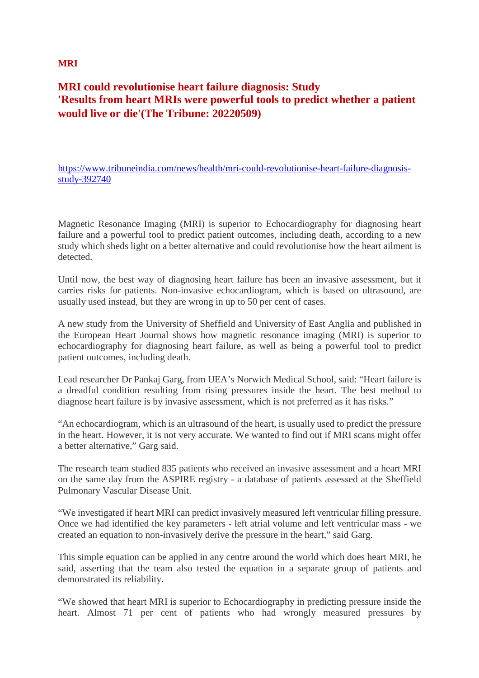#### **MRI**

#### **MRI could revolutionise heart failure diagnosis: Study 'Results from heart MRIs were powerful tools to predict whether a patient would live or die'(The Tribune: 20220509)**

https://www.tribuneindia.com/news/health/mri-could-revolutionise-heart-failure-diagnosisstudy-392740

Magnetic Resonance Imaging (MRI) is superior to Echocardiography for diagnosing heart failure and a powerful tool to predict patient outcomes, including death, according to a new study which sheds light on a better alternative and could revolutionise how the heart ailment is detected.

Until now, the best way of diagnosing heart failure has been an invasive assessment, but it carries risks for patients. Non-invasive echocardiogram, which is based on ultrasound, are usually used instead, but they are wrong in up to 50 per cent of cases.

A new study from the University of Sheffield and University of East Anglia and published in the European Heart Journal shows how magnetic resonance imaging (MRI) is superior to echocardiography for diagnosing heart failure, as well as being a powerful tool to predict patient outcomes, including death.

Lead researcher Dr Pankaj Garg, from UEA's Norwich Medical School, said: "Heart failure is a dreadful condition resulting from rising pressures inside the heart. The best method to diagnose heart failure is by invasive assessment, which is not preferred as it has risks."

"An echocardiogram, which is an ultrasound of the heart, is usually used to predict the pressure in the heart. However, it is not very accurate. We wanted to find out if MRI scans might offer a better alternative," Garg said.

The research team studied 835 patients who received an invasive assessment and a heart MRI on the same day from the ASPIRE registry - a database of patients assessed at the Sheffield Pulmonary Vascular Disease Unit.

"We investigated if heart MRI can predict invasively measured left ventricular filling pressure. Once we had identified the key parameters - left atrial volume and left ventricular mass - we created an equation to non-invasively derive the pressure in the heart," said Garg.

This simple equation can be applied in any centre around the world which does heart MRI, he said, asserting that the team also tested the equation in a separate group of patients and demonstrated its reliability.

"We showed that heart MRI is superior to Echocardiography in predicting pressure inside the heart. Almost 71 per cent of patients who had wrongly measured pressures by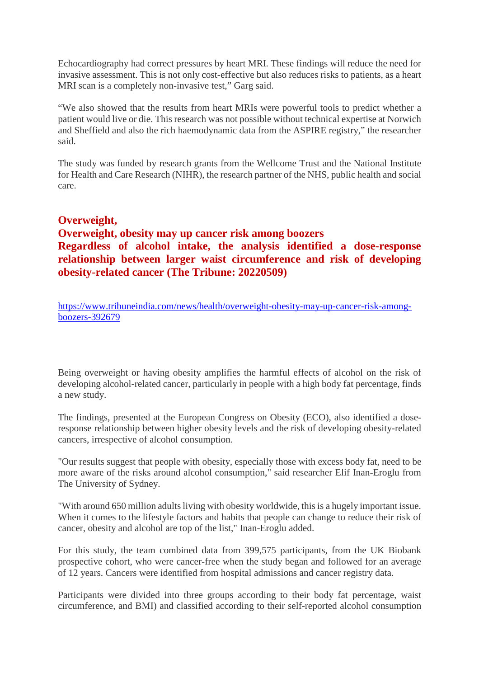Echocardiography had correct pressures by heart MRI. These findings will reduce the need for invasive assessment. This is not only cost-effective but also reduces risks to patients, as a heart MRI scan is a completely non-invasive test," Garg said.

"We also showed that the results from heart MRIs were powerful tools to predict whether a patient would live or die. This research was not possible without technical expertise at Norwich and Sheffield and also the rich haemodynamic data from the ASPIRE registry," the researcher said.

The study was funded by research grants from the Wellcome Trust and the National Institute for Health and Care Research (NIHR), the research partner of the NHS, public health and social care.

#### **Overweight,**

#### **Overweight, obesity may up cancer risk among boozers Regardless of alcohol intake, the analysis identified a dose-response relationship between larger waist circumference and risk of developing obesity-related cancer (The Tribune: 20220509)**

https://www.tribuneindia.com/news/health/overweight-obesity-may-up-cancer-risk-amongboozers-392679

Being overweight or having obesity amplifies the harmful effects of alcohol on the risk of developing alcohol-related cancer, particularly in people with a high body fat percentage, finds a new study.

The findings, presented at the European Congress on Obesity (ECO), also identified a doseresponse relationship between higher obesity levels and the risk of developing obesity-related cancers, irrespective of alcohol consumption.

"Our results suggest that people with obesity, especially those with excess body fat, need to be more aware of the risks around alcohol consumption," said researcher Elif Inan-Eroglu from The University of Sydney.

"With around 650 million adults living with obesity worldwide, this is a hugely important issue. When it comes to the lifestyle factors and habits that people can change to reduce their risk of cancer, obesity and alcohol are top of the list," Inan-Eroglu added.

For this study, the team combined data from 399,575 participants, from the UK Biobank prospective cohort, who were cancer-free when the study began and followed for an average of 12 years. Cancers were identified from hospital admissions and cancer registry data.

Participants were divided into three groups according to their body fat percentage, waist circumference, and BMI) and classified according to their self-reported alcohol consumption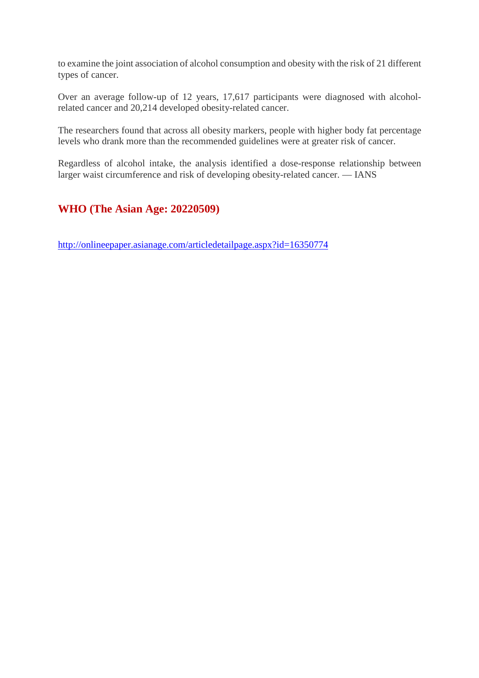to examine the joint association of alcohol consumption and obesity with the risk of 21 different types of cancer.

Over an average follow-up of 12 years, 17,617 participants were diagnosed with alcoholrelated cancer and 20,214 developed obesity-related cancer.

The researchers found that across all obesity markers, people with higher body fat percentage levels who drank more than the recommended guidelines were at greater risk of cancer.

Regardless of alcohol intake, the analysis identified a dose-response relationship between larger waist circumference and risk of developing obesity-related cancer. — IANS

#### **WHO (The Asian Age: 20220509)**

http://onlineepaper.asianage.com/articledetailpage.aspx?id=16350774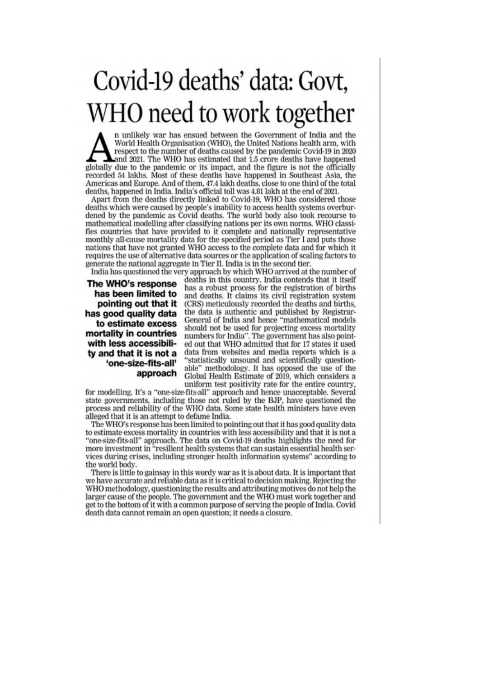# Covid-19 deaths' data: Govt, WHO need to work together

n unlikely war has ensued between the Government of India and the World Health Organisation (WHO), the United Nations health arm, with respect to the number of deaths caused by the pandemic Covid-19 in 2020 and 2021. The WHO has estimated that 1.5 crore deaths have happened globally due to the pandemic or its impact, and the figure is not the officially recorded 54 lakhs. Most of these deaths have happened in Southeast Asia, the Americas and Europe. And of them, 47.4 lakh deaths, close to one third of the total deaths, happened in India. India's official toll was 4.81 lakh at the end of 2021.

Apart from the deaths directly linked to Covid-19, WHO has considered those deaths which were caused by people's inability to access health systems overburdened by the pandemic as Covid deaths. The world body also took recourse to mathematical modelling after classifying nations per its own norms. WHO classifies countries that have provided to it complete and nationally representative monthly all-cause mortality data for the specified period as Tier I and puts those nations that have not granted WHO access to the complete data and for which it requires the use of alternative data sources or the application of scaling factors to generate the national aggregate in Tier II. India is in the second tier.

The WHO's response has been limited to pointing out that it has good quality data to estimate excess mortality in countries with less accessibility and that it is not a 'one-size-fits-all' approach

India has questioned the very approach by which WHO arrived at the number of deaths in this country. India contends that it itself has a robust process for the registration of births and deaths. It claims its civil registration system (CRS) meticulously recorded the deaths and births, the data is authentic and published by Registrar-General of India and hence "mathematical models should not be used for projecting excess mortality numbers for India". The government has also pointed out that WHO admitted that for 17 states it used data from websites and media reports which is a "statistically unsound and scientifically questionable" methodology. It has opposed the use of the Global Health Estimate of 2019, which considers a uniform test positivity rate for the entire country,

for modelling. It's a "one-size-fits-all" approach and hence unacceptable. Several state governments, including those not ruled by the BJP, have questioned the process and reliability of the WHO data. Some state health ministers have even alleged that it is an attempt to defame India.

The WHO's response has been limited to pointing out that it has good quality data to estimate excess mortality in countries with less accessibility and that it is not a "one-size-fits-all" approach. The data on Covid-19 deaths highlights the need for more investment in "resilient health systems that can sustain essential health services during crises, including stronger health information systems" according to the world body.

There is little to gainsay in this wordy war as it is about data. It is important that we have accurate and reliable data as it is critical to decision making. Rejecting the WHO methodology, questioning the results and attributing motives do not help the larger cause of the people. The government and the WHO must work together and get to the bottom of it with a common purpose of serving the people of India. Covid death data cannot remain an open question; it needs a closure.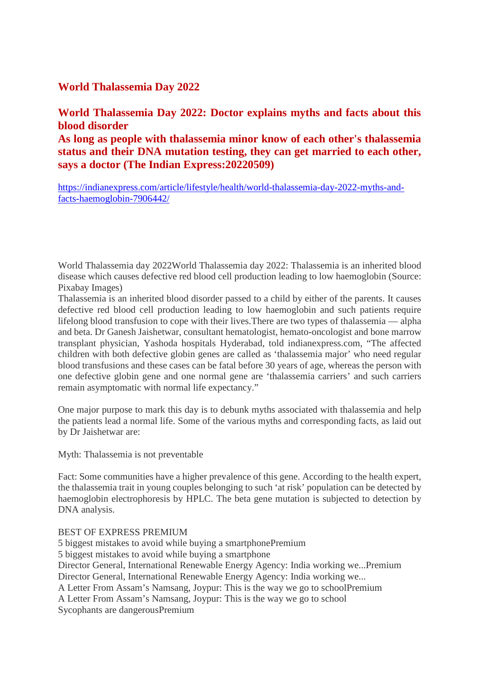#### **World Thalassemia Day 2022**

**World Thalassemia Day 2022: Doctor explains myths and facts about this blood disorder**

**As long as people with thalassemia minor know of each other's thalassemia status and their DNA mutation testing, they can get married to each other, says a doctor (The Indian Express:20220509)**

https://indianexpress.com/article/lifestyle/health/world-thalassemia-day-2022-myths-andfacts-haemoglobin-7906442/

World Thalassemia day 2022World Thalassemia day 2022: Thalassemia is an inherited blood disease which causes defective red blood cell production leading to low haemoglobin (Source: Pixabay Images)

Thalassemia is an inherited blood disorder passed to a child by either of the parents. It causes defective red blood cell production leading to low haemoglobin and such patients require lifelong blood transfusion to cope with their lives.There are two types of thalassemia — alpha and beta. Dr Ganesh Jaishetwar, consultant hematologist, hemato-oncologist and bone marrow transplant physician, Yashoda hospitals Hyderabad, told indianexpress.com, "The affected children with both defective globin genes are called as 'thalassemia major' who need regular blood transfusions and these cases can be fatal before 30 years of age, whereas the person with one defective globin gene and one normal gene are 'thalassemia carriers' and such carriers remain asymptomatic with normal life expectancy."

One major purpose to mark this day is to debunk myths associated with thalassemia and help the patients lead a normal life. Some of the various myths and corresponding facts, as laid out by Dr Jaishetwar are:

Myth: Thalassemia is not preventable

Fact: Some communities have a higher prevalence of this gene. According to the health expert, the thalassemia trait in young couples belonging to such 'at risk' population can be detected by haemoglobin electrophoresis by HPLC. The beta gene mutation is subjected to detection by DNA analysis.

BEST OF EXPRESS PREMIUM

5 biggest mistakes to avoid while buying a smartphonePremium 5 biggest mistakes to avoid while buying a smartphone Director General, International Renewable Energy Agency: India working we...Premium Director General, International Renewable Energy Agency: India working we... A Letter From Assam's Namsang, Joypur: This is the way we go to schoolPremium A Letter From Assam's Namsang, Joypur: This is the way we go to school Sycophants are dangerousPremium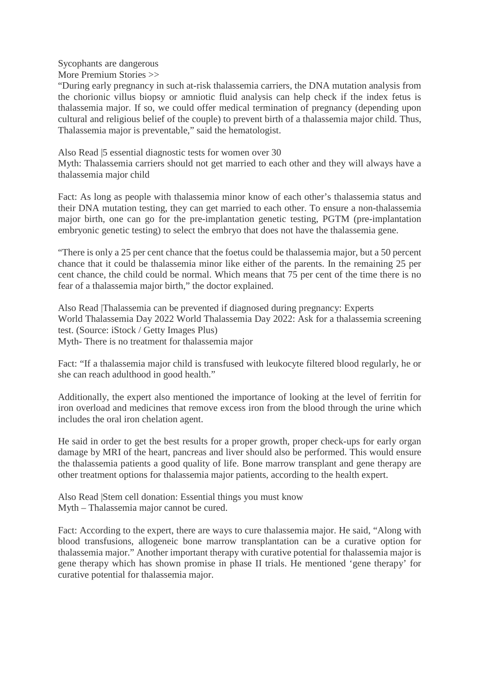Sycophants are dangerous More Premium Stories >>

"During early pregnancy in such at-risk thalassemia carriers, the DNA mutation analysis from the chorionic villus biopsy or amniotic fluid analysis can help check if the index fetus is thalassemia major. If so, we could offer medical termination of pregnancy (depending upon cultural and religious belief of the couple) to prevent birth of a thalassemia major child. Thus, Thalassemia major is preventable," said the hematologist.

Also Read |5 essential diagnostic tests for women over 30

Myth: Thalassemia carriers should not get married to each other and they will always have a thalassemia major child

Fact: As long as people with thalassemia minor know of each other's thalassemia status and their DNA mutation testing, they can get married to each other. To ensure a non-thalassemia major birth, one can go for the pre-implantation genetic testing, PGTM (pre-implantation embryonic genetic testing) to select the embryo that does not have the thalassemia gene.

"There is only a 25 per cent chance that the foetus could be thalassemia major, but a 50 percent chance that it could be thalassemia minor like either of the parents. In the remaining 25 per cent chance, the child could be normal. Which means that 75 per cent of the time there is no fear of a thalassemia major birth," the doctor explained.

Also Read |Thalassemia can be prevented if diagnosed during pregnancy: Experts World Thalassemia Day 2022 World Thalassemia Day 2022: Ask for a thalassemia screening test. (Source: iStock / Getty Images Plus) Myth- There is no treatment for thalassemia major

Fact: "If a thalassemia major child is transfused with leukocyte filtered blood regularly, he or she can reach adulthood in good health."

Additionally, the expert also mentioned the importance of looking at the level of ferritin for iron overload and medicines that remove excess iron from the blood through the urine which includes the oral iron chelation agent.

He said in order to get the best results for a proper growth, proper check-ups for early organ damage by MRI of the heart, pancreas and liver should also be performed. This would ensure the thalassemia patients a good quality of life. Bone marrow transplant and gene therapy are other treatment options for thalassemia major patients, according to the health expert.

Also Read |Stem cell donation: Essential things you must know Myth – Thalassemia major cannot be cured.

Fact: According to the expert, there are ways to cure thalassemia major. He said, "Along with blood transfusions, allogeneic bone marrow transplantation can be a curative option for thalassemia major." Another important therapy with curative potential for thalassemia major is gene therapy which has shown promise in phase II trials. He mentioned 'gene therapy' for curative potential for thalassemia major.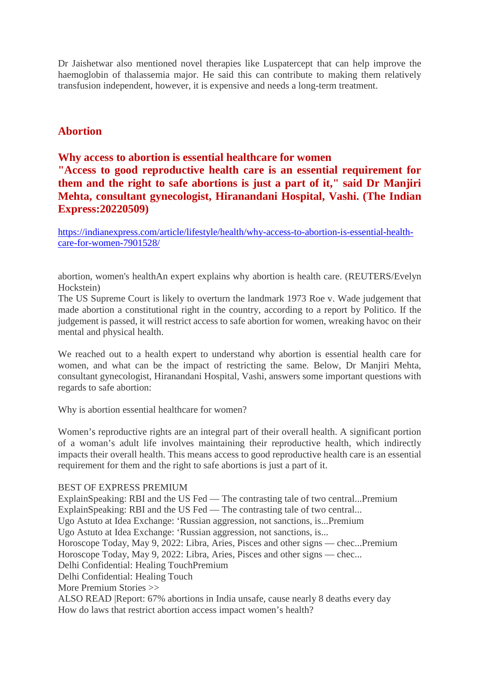Dr Jaishetwar also mentioned novel therapies like Luspatercept that can help improve the haemoglobin of thalassemia major. He said this can contribute to making them relatively transfusion independent, however, it is expensive and needs a long-term treatment.

#### **Abortion**

#### **Why access to abortion is essential healthcare for women "Access to good reproductive health care is an essential requirement for them and the right to safe abortions is just a part of it," said Dr Manjiri Mehta, consultant gynecologist, Hiranandani Hospital, Vashi. (The Indian Express:20220509)**

https://indianexpress.com/article/lifestyle/health/why-access-to-abortion-is-essential-healthcare-for-women-7901528/

abortion, women's healthAn expert explains why abortion is health care. (REUTERS/Evelyn Hockstein)

The US Supreme Court is likely to overturn the landmark 1973 Roe v. Wade judgement that made abortion a constitutional right in the country, according to a report by Politico. If the judgement is passed, it will restrict access to safe abortion for women, wreaking havoc on their mental and physical health.

We reached out to a health expert to understand why abortion is essential health care for women, and what can be the impact of restricting the same. Below, Dr Manjiri Mehta, consultant gynecologist, Hiranandani Hospital, Vashi, answers some important questions with regards to safe abortion:

Why is abortion essential healthcare for women?

Women's reproductive rights are an integral part of their overall health. A significant portion of a woman's adult life involves maintaining their reproductive health, which indirectly impacts their overall health. This means access to good reproductive health care is an essential requirement for them and the right to safe abortions is just a part of it.

#### BEST OF EXPRESS PREMIUM

ExplainSpeaking: RBI and the US Fed — The contrasting tale of two central...Premium ExplainSpeaking: RBI and the US Fed — The contrasting tale of two central... Ugo Astuto at Idea Exchange: 'Russian aggression, not sanctions, is...Premium Ugo Astuto at Idea Exchange: 'Russian aggression, not sanctions, is... Horoscope Today, May 9, 2022: Libra, Aries, Pisces and other signs — chec...Premium Horoscope Today, May 9, 2022: Libra, Aries, Pisces and other signs — chec... Delhi Confidential: Healing TouchPremium Delhi Confidential: Healing Touch More Premium Stories >> ALSO READ |Report: 67% abortions in India unsafe, cause nearly 8 deaths every day How do laws that restrict abortion access impact women's health?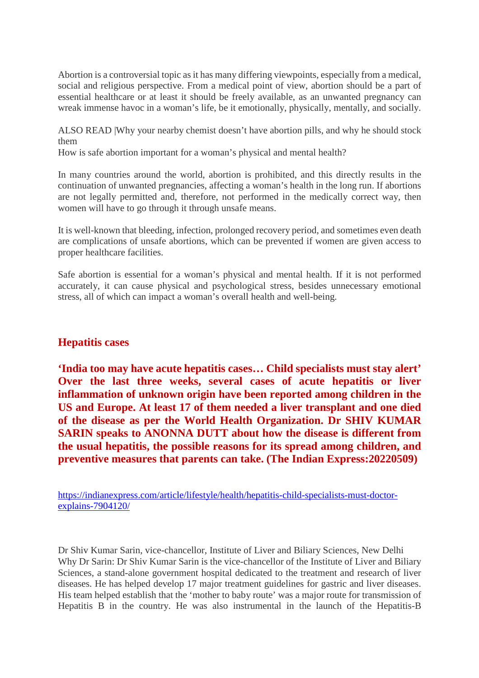Abortion is a controversial topic as it has many differing viewpoints, especially from a medical, social and religious perspective. From a medical point of view, abortion should be a part of essential healthcare or at least it should be freely available, as an unwanted pregnancy can wreak immense havoc in a woman's life, be it emotionally, physically, mentally, and socially.

ALSO READ |Why your nearby chemist doesn't have abortion pills, and why he should stock them

How is safe abortion important for a woman's physical and mental health?

In many countries around the world, abortion is prohibited, and this directly results in the continuation of unwanted pregnancies, affecting a woman's health in the long run. If abortions are not legally permitted and, therefore, not performed in the medically correct way, then women will have to go through it through unsafe means.

It is well-known that bleeding, infection, prolonged recovery period, and sometimes even death are complications of unsafe abortions, which can be prevented if women are given access to proper healthcare facilities.

Safe abortion is essential for a woman's physical and mental health. If it is not performed accurately, it can cause physical and psychological stress, besides unnecessary emotional stress, all of which can impact a woman's overall health and well-being.

#### **Hepatitis cases**

**'India too may have acute hepatitis cases… Child specialists must stay alert' Over the last three weeks, several cases of acute hepatitis or liver inflammation of unknown origin have been reported among children in the US and Europe. At least 17 of them needed a liver transplant and one died of the disease as per the World Health Organization. Dr SHIV KUMAR SARIN speaks to ANONNA DUTT about how the disease is different from the usual hepatitis, the possible reasons for its spread among children, and preventive measures that parents can take. (The Indian Express:20220509)**

https://indianexpress.com/article/lifestyle/health/hepatitis-child-specialists-must-doctorexplains-7904120/

Dr Shiv Kumar Sarin, vice-chancellor, Institute of Liver and Biliary Sciences, New Delhi Why Dr Sarin: Dr Shiv Kumar Sarin is the vice-chancellor of the Institute of Liver and Biliary Sciences, a stand-alone government hospital dedicated to the treatment and research of liver diseases. He has helped develop 17 major treatment guidelines for gastric and liver diseases. His team helped establish that the 'mother to baby route' was a major route for transmission of Hepatitis B in the country. He was also instrumental in the launch of the Hepatitis-B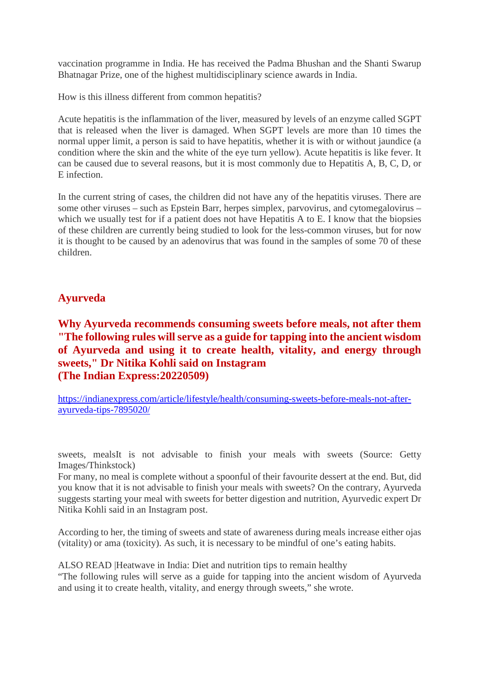vaccination programme in India. He has received the Padma Bhushan and the Shanti Swarup Bhatnagar Prize, one of the highest multidisciplinary science awards in India.

How is this illness different from common hepatitis?

Acute hepatitis is the inflammation of the liver, measured by levels of an enzyme called SGPT that is released when the liver is damaged. When SGPT levels are more than 10 times the normal upper limit, a person is said to have hepatitis, whether it is with or without jaundice (a condition where the skin and the white of the eye turn yellow). Acute hepatitis is like fever. It can be caused due to several reasons, but it is most commonly due to Hepatitis A, B, C, D, or E infection.

In the current string of cases, the children did not have any of the hepatitis viruses. There are some other viruses – such as Epstein Barr, herpes simplex, parvovirus, and cytomegalovirus – which we usually test for if a patient does not have Hepatitis A to E. I know that the biopsies of these children are currently being studied to look for the less-common viruses, but for now it is thought to be caused by an adenovirus that was found in the samples of some 70 of these children.

#### **Ayurveda**

**Why Ayurveda recommends consuming sweets before meals, not after them "The following rules will serve as a guide for tapping into the ancient wisdom of Ayurveda and using it to create health, vitality, and energy through sweets," Dr Nitika Kohli said on Instagram (The Indian Express:20220509)**

https://indianexpress.com/article/lifestyle/health/consuming-sweets-before-meals-not-afterayurveda-tips-7895020/

sweets, mealsIt is not advisable to finish your meals with sweets (Source: Getty Images/Thinkstock)

For many, no meal is complete without a spoonful of their favourite dessert at the end. But, did you know that it is not advisable to finish your meals with sweets? On the contrary, Ayurveda suggests starting your meal with sweets for better digestion and nutrition, Ayurvedic expert Dr Nitika Kohli said in an Instagram post.

According to her, the timing of sweets and state of awareness during meals increase either ojas (vitality) or ama (toxicity). As such, it is necessary to be mindful of one's eating habits.

ALSO READ |Heatwave in India: Diet and nutrition tips to remain healthy "The following rules will serve as a guide for tapping into the ancient wisdom of Ayurveda and using it to create health, vitality, and energy through sweets," she wrote.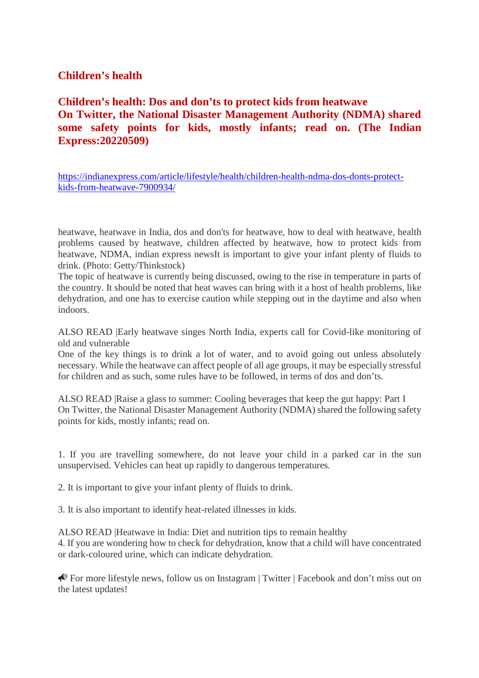#### **Children's health**

**Children's health: Dos and don'ts to protect kids from heatwave On Twitter, the National Disaster Management Authority (NDMA) shared some safety points for kids, mostly infants; read on. (The Indian Express:20220509)**

https://indianexpress.com/article/lifestyle/health/children-health-ndma-dos-donts-protectkids-from-heatwave-7900934/

heatwave, heatwave in India, dos and don'ts for heatwave, how to deal with heatwave, health problems caused by heatwave, children affected by heatwave, how to protect kids from heatwave, NDMA, indian express newsIt is important to give your infant plenty of fluids to drink. (Photo: Getty/Thinkstock)

The topic of heatwave is currently being discussed, owing to the rise in temperature in parts of the country. It should be noted that heat waves can bring with it a host of health problems, like dehydration, and one has to exercise caution while stepping out in the daytime and also when indoors.

ALSO READ |Early heatwave singes North India, experts call for Covid-like monitoring of old and vulnerable

One of the key things is to drink a lot of water, and to avoid going out unless absolutely necessary. While the heatwave can affect people of all age groups, it may be especially stressful for children and as such, some rules have to be followed, in terms of dos and don'ts.

ALSO READ |Raise a glass to summer: Cooling beverages that keep the gut happy: Part I On Twitter, the National Disaster Management Authority (NDMA) shared the following safety points for kids, mostly infants; read on.

1. If you are travelling somewhere, do not leave your child in a parked car in the sun unsupervised. Vehicles can heat up rapidly to dangerous temperatures.

2. It is important to give your infant plenty of fluids to drink.

3. It is also important to identify heat-related illnesses in kids.

ALSO READ |Heatwave in India: Diet and nutrition tips to remain healthy 4. If you are wondering how to check for dehydration, know that a child will have concentrated or dark-coloured urine, which can indicate dehydration.

For more lifestyle news, follow us on Instagram | Twitter | Facebook and don't miss out on the latest updates!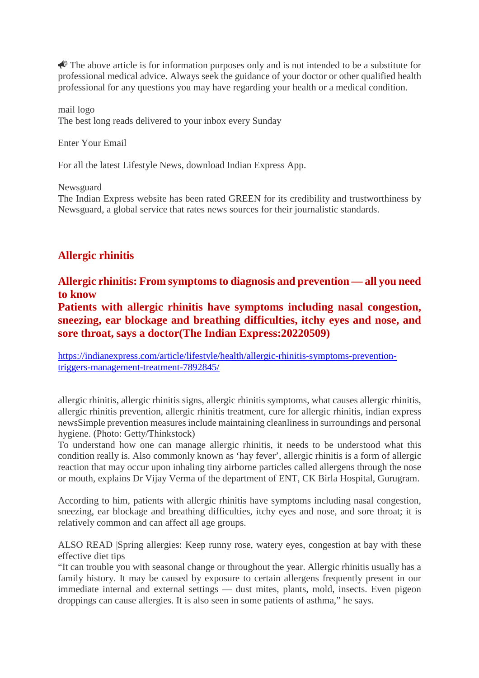$\triangle$  The above article is for information purposes only and is not intended to be a substitute for professional medical advice. Always seek the guidance of your doctor or other qualified health professional for any questions you may have regarding your health or a medical condition.

mail logo The best long reads delivered to your inbox every Sunday

Enter Your Email

For all the latest Lifestyle News, download Indian Express App.

Newsguard

The Indian Express website has been rated GREEN for its credibility and trustworthiness by Newsguard, a global service that rates news sources for their journalistic standards.

#### **Allergic rhinitis**

**Allergic rhinitis: From symptoms to diagnosis and prevention — all you need to know**

**Patients with allergic rhinitis have symptoms including nasal congestion, sneezing, ear blockage and breathing difficulties, itchy eyes and nose, and sore throat, says a doctor(The Indian Express:20220509)**

https://indianexpress.com/article/lifestyle/health/allergic-rhinitis-symptoms-preventiontriggers-management-treatment-7892845/

allergic rhinitis, allergic rhinitis signs, allergic rhinitis symptoms, what causes allergic rhinitis, allergic rhinitis prevention, allergic rhinitis treatment, cure for allergic rhinitis, indian express newsSimple prevention measures include maintaining cleanliness in surroundings and personal hygiene. (Photo: Getty/Thinkstock)

To understand how one can manage allergic rhinitis, it needs to be understood what this condition really is. Also commonly known as 'hay fever', allergic rhinitis is a form of allergic reaction that may occur upon inhaling tiny airborne particles called allergens through the nose or mouth, explains Dr Vijay Verma of the department of ENT, CK Birla Hospital, Gurugram.

According to him, patients with allergic rhinitis have symptoms including nasal congestion, sneezing, ear blockage and breathing difficulties, itchy eyes and nose, and sore throat; it is relatively common and can affect all age groups.

ALSO READ |Spring allergies: Keep runny rose, watery eyes, congestion at bay with these effective diet tips

"It can trouble you with seasonal change or throughout the year. Allergic rhinitis usually has a family history. It may be caused by exposure to certain allergens frequently present in our immediate internal and external settings — dust mites, plants, mold, insects. Even pigeon droppings can cause allergies. It is also seen in some patients of asthma," he says.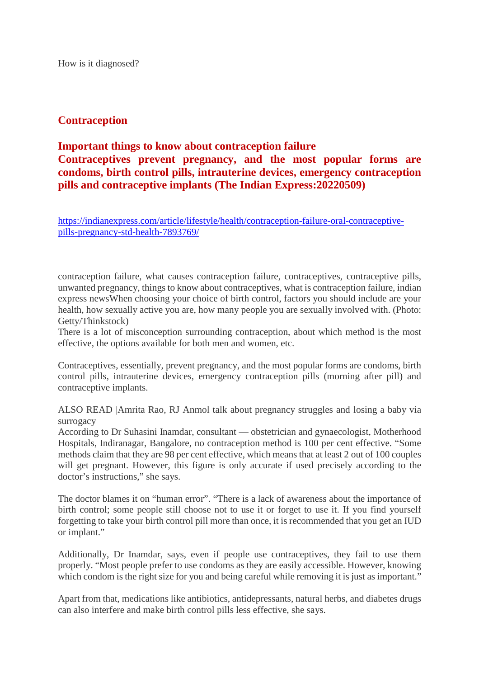How is it diagnosed?

#### **Contraception**

#### **Important things to know about contraception failure Contraceptives prevent pregnancy, and the most popular forms are condoms, birth control pills, intrauterine devices, emergency contraception pills and contraceptive implants (The Indian Express:20220509)**

https://indianexpress.com/article/lifestyle/health/contraception-failure-oral-contraceptivepills-pregnancy-std-health-7893769/

contraception failure, what causes contraception failure, contraceptives, contraceptive pills, unwanted pregnancy, things to know about contraceptives, what is contraception failure, indian express newsWhen choosing your choice of birth control, factors you should include are your health, how sexually active you are, how many people you are sexually involved with. (Photo: Getty/Thinkstock)

There is a lot of misconception surrounding contraception, about which method is the most effective, the options available for both men and women, etc.

Contraceptives, essentially, prevent pregnancy, and the most popular forms are condoms, birth control pills, intrauterine devices, emergency contraception pills (morning after pill) and contraceptive implants.

ALSO READ |Amrita Rao, RJ Anmol talk about pregnancy struggles and losing a baby via surrogacy

According to Dr Suhasini Inamdar, consultant — obstetrician and gynaecologist, Motherhood Hospitals, Indiranagar, Bangalore, no contraception method is 100 per cent effective. "Some methods claim that they are 98 per cent effective, which means that at least 2 out of 100 couples will get pregnant. However, this figure is only accurate if used precisely according to the doctor's instructions," she says.

The doctor blames it on "human error". "There is a lack of awareness about the importance of birth control; some people still choose not to use it or forget to use it. If you find yourself forgetting to take your birth control pill more than once, it is recommended that you get an IUD or implant."

Additionally, Dr Inamdar, says, even if people use contraceptives, they fail to use them properly. "Most people prefer to use condoms as they are easily accessible. However, knowing which condom is the right size for you and being careful while removing it is just as important."

Apart from that, medications like antibiotics, antidepressants, natural herbs, and diabetes drugs can also interfere and make birth control pills less effective, she says.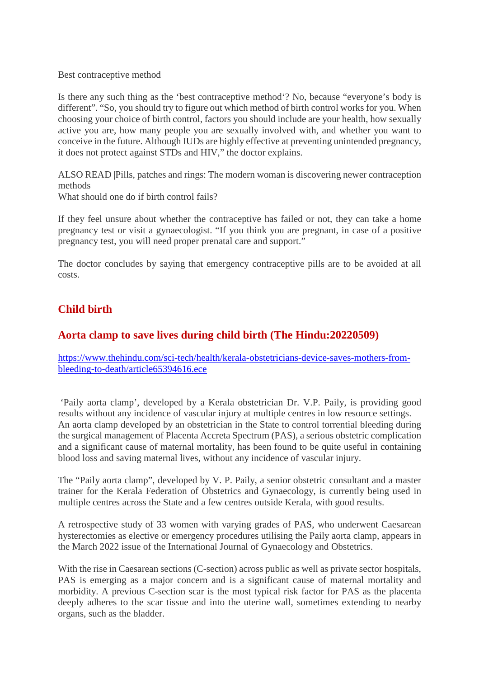Best contraceptive method

Is there any such thing as the 'best contraceptive method'? No, because "everyone's body is different". "So, you should try to figure out which method of birth control works for you. When choosing your choice of birth control, factors you should include are your health, how sexually active you are, how many people you are sexually involved with, and whether you want to conceive in the future. Although IUDs are highly effective at preventing unintended pregnancy, it does not protect against STDs and HIV," the doctor explains.

ALSO READ |Pills, patches and rings: The modern woman is discovering newer contraception methods

What should one do if birth control fails?

If they feel unsure about whether the contraceptive has failed or not, they can take a home pregnancy test or visit a gynaecologist. "If you think you are pregnant, in case of a positive pregnancy test, you will need proper prenatal care and support."

The doctor concludes by saying that emergency contraceptive pills are to be avoided at all costs.

#### **Child birth**

#### **Aorta clamp to save lives during child birth (The Hindu:20220509)**

https://www.thehindu.com/sci-tech/health/kerala-obstetricians-device-saves-mothers-frombleeding-to-death/article65394616.ece

'Paily aorta clamp', developed by a Kerala obstetrician Dr. V.P. Paily, is providing good results without any incidence of vascular injury at multiple centres in low resource settings. An aorta clamp developed by an obstetrician in the State to control torrential bleeding during the surgical management of Placenta Accreta Spectrum (PAS), a serious obstetric complication and a significant cause of maternal mortality, has been found to be quite useful in containing blood loss and saving maternal lives, without any incidence of vascular injury.

The "Paily aorta clamp", developed by V. P. Paily, a senior obstetric consultant and a master trainer for the Kerala Federation of Obstetrics and Gynaecology, is currently being used in multiple centres across the State and a few centres outside Kerala, with good results.

A retrospective study of 33 women with varying grades of PAS, who underwent Caesarean hysterectomies as elective or emergency procedures utilising the Paily aorta clamp, appears in the March 2022 issue of the International Journal of Gynaecology and Obstetrics.

With the rise in Caesarean sections (C-section) across public as well as private sector hospitals, PAS is emerging as a major concern and is a significant cause of maternal mortality and morbidity. A previous C-section scar is the most typical risk factor for PAS as the placenta deeply adheres to the scar tissue and into the uterine wall, sometimes extending to nearby organs, such as the bladder.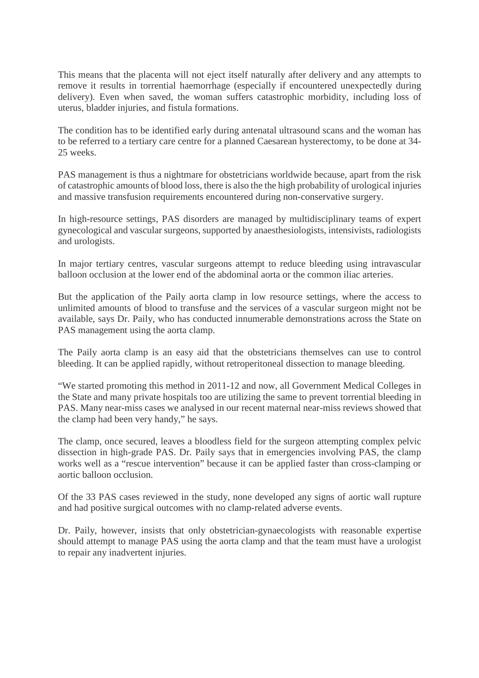This means that the placenta will not eject itself naturally after delivery and any attempts to remove it results in torrential haemorrhage (especially if encountered unexpectedly during delivery). Even when saved, the woman suffers catastrophic morbidity, including loss of uterus, bladder injuries, and fistula formations.

The condition has to be identified early during antenatal ultrasound scans and the woman has to be referred to a tertiary care centre for a planned Caesarean hysterectomy, to be done at 34- 25 weeks.

PAS management is thus a nightmare for obstetricians worldwide because, apart from the risk of catastrophic amounts of blood loss, there is also the the high probability of urological injuries and massive transfusion requirements encountered during non-conservative surgery.

In high-resource settings, PAS disorders are managed by multidisciplinary teams of expert gynecological and vascular surgeons, supported by anaesthesiologists, intensivists, radiologists and urologists.

In major tertiary centres, vascular surgeons attempt to reduce bleeding using intravascular balloon occlusion at the lower end of the abdominal aorta or the common iliac arteries.

But the application of the Paily aorta clamp in low resource settings, where the access to unlimited amounts of blood to transfuse and the services of a vascular surgeon might not be available, says Dr. Paily, who has conducted innumerable demonstrations across the State on PAS management using the aorta clamp.

The Paily aorta clamp is an easy aid that the obstetricians themselves can use to control bleeding. It can be applied rapidly, without retroperitoneal dissection to manage bleeding.

"We started promoting this method in 2011-12 and now, all Government Medical Colleges in the State and many private hospitals too are utilizing the same to prevent torrential bleeding in PAS. Many near-miss cases we analysed in our recent maternal near-miss reviews showed that the clamp had been very handy," he says.

The clamp, once secured, leaves a bloodless field for the surgeon attempting complex pelvic dissection in high-grade PAS. Dr. Paily says that in emergencies involving PAS, the clamp works well as a "rescue intervention" because it can be applied faster than cross-clamping or aortic balloon occlusion.

Of the 33 PAS cases reviewed in the study, none developed any signs of aortic wall rupture and had positive surgical outcomes with no clamp-related adverse events.

Dr. Paily, however, insists that only obstetrician-gynaecologists with reasonable expertise should attempt to manage PAS using the aorta clamp and that the team must have a urologist to repair any inadvertent injuries.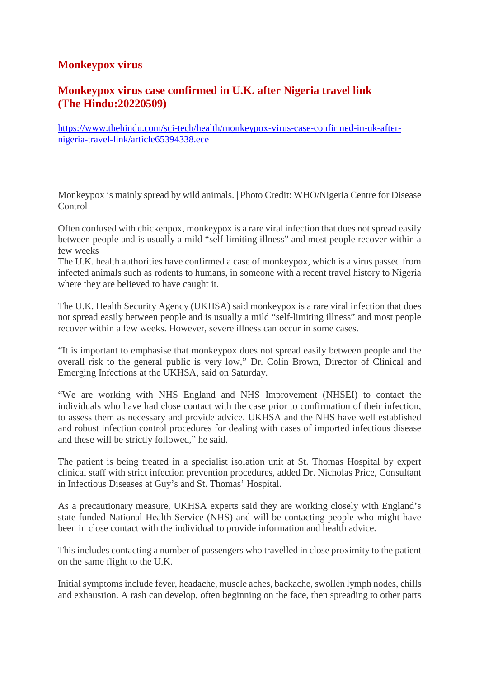#### **Monkeypox virus**

#### **Monkeypox virus case confirmed in U.K. after Nigeria travel link (The Hindu:20220509)**

https://www.thehindu.com/sci-tech/health/monkeypox-virus-case-confirmed-in-uk-afternigeria-travel-link/article65394338.ece

Monkeypox is mainly spread by wild animals. | Photo Credit: WHO/Nigeria Centre for Disease Control

Often confused with chickenpox, monkeypox is a rare viral infection that does not spread easily between people and is usually a mild "self-limiting illness" and most people recover within a few weeks

The U.K. health authorities have confirmed a case of monkeypox, which is a virus passed from infected animals such as rodents to humans, in someone with a recent travel history to Nigeria where they are believed to have caught it.

The U.K. Health Security Agency (UKHSA) said monkeypox is a rare viral infection that does not spread easily between people and is usually a mild "self-limiting illness" and most people recover within a few weeks. However, severe illness can occur in some cases.

"It is important to emphasise that monkeypox does not spread easily between people and the overall risk to the general public is very low," Dr. Colin Brown, Director of Clinical and Emerging Infections at the UKHSA, said on Saturday.

"We are working with NHS England and NHS Improvement (NHSEI) to contact the individuals who have had close contact with the case prior to confirmation of their infection, to assess them as necessary and provide advice. UKHSA and the NHS have well established and robust infection control procedures for dealing with cases of imported infectious disease and these will be strictly followed," he said.

The patient is being treated in a specialist isolation unit at St. Thomas Hospital by expert clinical staff with strict infection prevention procedures, added Dr. Nicholas Price, Consultant in Infectious Diseases at Guy's and St. Thomas' Hospital.

As a precautionary measure, UKHSA experts said they are working closely with England's state-funded National Health Service (NHS) and will be contacting people who might have been in close contact with the individual to provide information and health advice.

This includes contacting a number of passengers who travelled in close proximity to the patient on the same flight to the U.K.

Initial symptoms include fever, headache, muscle aches, backache, swollen lymph nodes, chills and exhaustion. A rash can develop, often beginning on the face, then spreading to other parts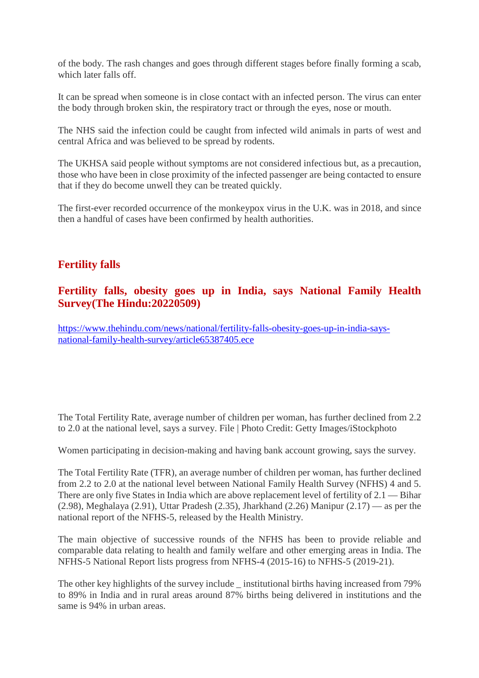of the body. The rash changes and goes through different stages before finally forming a scab, which later falls off.

It can be spread when someone is in close contact with an infected person. The virus can enter the body through broken skin, the respiratory tract or through the eyes, nose or mouth.

The NHS said the infection could be caught from infected wild animals in parts of west and central Africa and was believed to be spread by rodents.

The UKHSA said people without symptoms are not considered infectious but, as a precaution, those who have been in close proximity of the infected passenger are being contacted to ensure that if they do become unwell they can be treated quickly.

The first-ever recorded occurrence of the monkeypox virus in the U.K. was in 2018, and since then a handful of cases have been confirmed by health authorities.

#### **Fertility falls**

#### **Fertility falls, obesity goes up in India, says National Family Health Survey(The Hindu:20220509)**

https://www.thehindu.com/news/national/fertility-falls-obesity-goes-up-in-india-saysnational-family-health-survey/article65387405.ece

The Total Fertility Rate, average number of children per woman, has further declined from 2.2 to 2.0 at the national level, says a survey. File | Photo Credit: Getty Images/iStockphoto

Women participating in decision-making and having bank account growing, says the survey.

The Total Fertility Rate (TFR), an average number of children per woman, has further declined from 2.2 to 2.0 at the national level between National Family Health Survey (NFHS) 4 and 5. There are only five States in India which are above replacement level of fertility of 2.1 — Bihar  $(2.98)$ , Meghalaya  $(2.91)$ , Uttar Pradesh  $(2.35)$ , Jharkhand  $(2.26)$  Manipur  $(2.17)$  — as per the national report of the NFHS-5, released by the Health Ministry.

The main objective of successive rounds of the NFHS has been to provide reliable and comparable data relating to health and family welfare and other emerging areas in India. The NFHS-5 National Report lists progress from NFHS-4 (2015-16) to NFHS-5 (2019-21).

The other key highlights of the survey include \_ institutional births having increased from 79% to 89% in India and in rural areas around 87% births being delivered in institutions and the same is 94% in urban areas.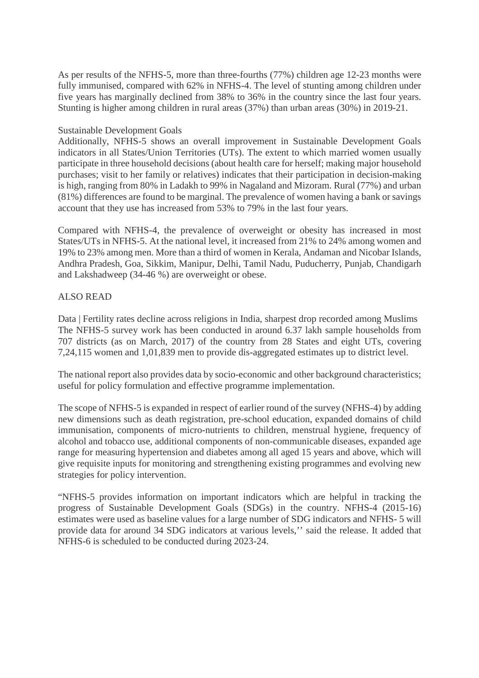As per results of the NFHS-5, more than three-fourths (77%) children age 12-23 months were fully immunised, compared with 62% in NFHS-4. The level of stunting among children under five years has marginally declined from 38% to 36% in the country since the last four years. Stunting is higher among children in rural areas (37%) than urban areas (30%) in 2019-21.

#### Sustainable Development Goals

Additionally, NFHS-5 shows an overall improvement in Sustainable Development Goals indicators in all States/Union Territories (UTs). The extent to which married women usually participate in three household decisions (about health care for herself; making major household purchases; visit to her family or relatives) indicates that their participation in decision-making is high, ranging from 80% in Ladakh to 99% in Nagaland and Mizoram. Rural (77%) and urban (81%) differences are found to be marginal. The prevalence of women having a bank or savings account that they use has increased from 53% to 79% in the last four years.

Compared with NFHS-4, the prevalence of overweight or obesity has increased in most States/UTs in NFHS-5. At the national level, it increased from 21% to 24% among women and 19% to 23% among men. More than a third of women in Kerala, Andaman and Nicobar Islands, Andhra Pradesh, Goa, Sikkim, Manipur, Delhi, Tamil Nadu, Puducherry, Punjab, Chandigarh and Lakshadweep (34-46 %) are overweight or obese.

#### ALSO READ

Data | Fertility rates decline across religions in India, sharpest drop recorded among Muslims The NFHS-5 survey work has been conducted in around 6.37 lakh sample households from 707 districts (as on March, 2017) of the country from 28 States and eight UTs, covering 7,24,115 women and 1,01,839 men to provide dis-aggregated estimates up to district level.

The national report also provides data by socio-economic and other background characteristics; useful for policy formulation and effective programme implementation.

The scope of NFHS-5 is expanded in respect of earlier round of the survey (NFHS-4) by adding new dimensions such as death registration, pre-school education, expanded domains of child immunisation, components of micro-nutrients to children, menstrual hygiene, frequency of alcohol and tobacco use, additional components of non-communicable diseases, expanded age range for measuring hypertension and diabetes among all aged 15 years and above, which will give requisite inputs for monitoring and strengthening existing programmes and evolving new strategies for policy intervention.

"NFHS-5 provides information on important indicators which are helpful in tracking the progress of Sustainable Development Goals (SDGs) in the country. NFHS-4 (2015-16) estimates were used as baseline values for a large number of SDG indicators and NFHS- 5 will provide data for around 34 SDG indicators at various levels,'' said the release. It added that NFHS-6 is scheduled to be conducted during 2023-24.